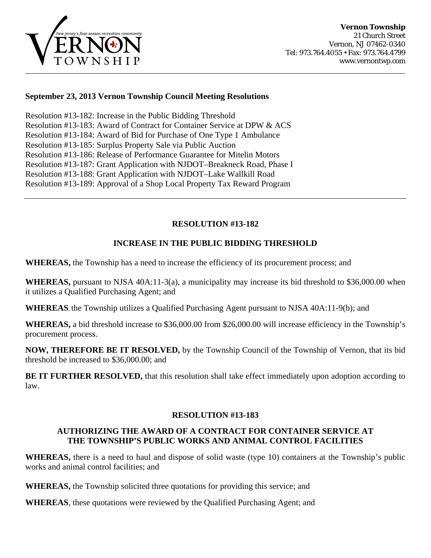

### **September 23, 2013 Vernon Township Council Meeting Resolutions**

Resolution #13-182: Increase in the Public Bidding Threshold Resolution #13-183: Award of Contract for Container Service at DPW & ACS [Resolution #13-184: Award of Bid for Purchase of One Type 1 Ambulance](#page-1-0)  [Resolution #13-185: Surplus Property Sale via Public Auction](#page-2-0)  [Resolution #13-186: Release of Performance Guarantee for Mitelin Motors](#page-2-0) [Resolution #13-187: Grant Application with NJDOT–Breakneck Road, Phase I](#page-3-0) [Resolution #13-188: Grant Application with NJDOT–Lake Wallkill Road](#page-3-0) [Resolution #13-189: Approval of a Shop Local Property Tax Reward Program](#page-4-0)

### **RESOLUTION #13-182**

#### **INCREASE IN THE PUBLIC BIDDING THRESHOLD**

**WHEREAS,** the Township has a need to increase the efficiency of its procurement process; and

**WHEREAS,** pursuant to NJSA 40A:11-3(a), a municipality may increase its bid threshold to \$36,000.00 when it utilizes a Qualified Purchasing Agent; and

**WHEREAS**, the Township utilizes a Qualified Purchasing Agent pursuant to NJSA 40A:11-9(b); and

**WHEREAS,** a bid threshold increase to \$36,000.00 from \$26,000.00 will increase efficiency in the Township's procurement process.

**NOW, THEREFORE BE IT RESOLVED,** by the Township Council of the Township of Vernon, that its bid threshold be increased to \$36,000.00; and

**BE IT FURTHER RESOLVED,** that this resolution shall take effect immediately upon adoption according to law.

#### **RESOLUTION #13-183**

### **AUTHORIZING THE AWARD OF A CONTRACT FOR CONTAINER SERVICE AT THE TOWNSHIP'S PUBLIC WORKS AND ANIMAL CONTROL FACILITIES**

**WHEREAS,** there is a need to haul and dispose of solid waste (type 10) containers at the Township's public works and animal control facilities; and

**WHEREAS,** the Township solicited three quotations for providing this service; and

**WHEREAS**, these quotations were reviewed by the Qualified Purchasing Agent; and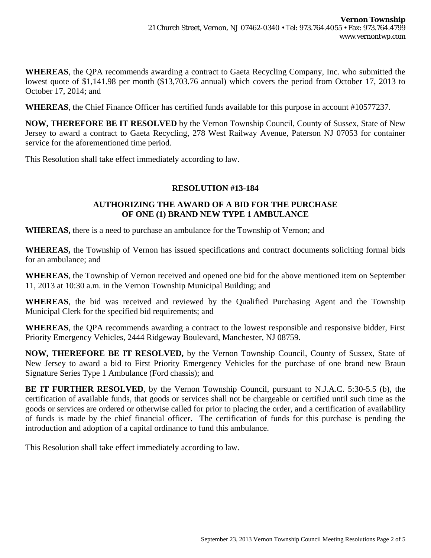<span id="page-1-0"></span>**WHEREAS**, the QPA recommends awarding a contract to Gaeta Recycling Company, Inc. who submitted the lowest quote of \$1,141.98 per month (\$13,703.76 annual) which covers the period from October 17, 2013 to October 17, 2014; and

**WHEREAS**, the Chief Finance Officer has certified funds available for this purpose in account #10577237.

**NOW, THEREFORE BE IT RESOLVED** by the Vernon Township Council, County of Sussex, State of New Jersey to award a contract to Gaeta Recycling, 278 West Railway Avenue, Paterson NJ 07053 for container service for the aforementioned time period.

This Resolution shall take effect immediately according to law.

### **RESOLUTION #13-184**

### **AUTHORIZING THE AWARD OF A BID FOR THE PURCHASE OF ONE (1) BRAND NEW TYPE 1 AMBULANCE**

**WHEREAS,** there is a need to purchase an ambulance for the Township of Vernon; and

**WHEREAS,** the Township of Vernon has issued specifications and contract documents soliciting formal bids for an ambulance; and

**WHEREAS**, the Township of Vernon received and opened one bid for the above mentioned item on September 11, 2013 at 10:30 a.m. in the Vernon Township Municipal Building; and

**WHEREAS**, the bid was received and reviewed by the Qualified Purchasing Agent and the Township Municipal Clerk for the specified bid requirements; and

**WHEREAS**, the QPA recommends awarding a contract to the lowest responsible and responsive bidder, First Priority Emergency Vehicles, 2444 Ridgeway Boulevard, Manchester, NJ 08759.

**NOW, THEREFORE BE IT RESOLVED,** by the Vernon Township Council, County of Sussex, State of New Jersey to award a bid to First Priority Emergency Vehicles for the purchase of one brand new Braun Signature Series Type 1 Ambulance (Ford chassis); and

**BE IT FURTHER RESOLVED**, by the Vernon Township Council, pursuant to N.J.A.C. 5:30-5.5 (b), the certification of available funds, that goods or services shall not be chargeable or certified until such time as the goods or services are ordered or otherwise called for prior to placing the order, and a certification of availability of funds is made by the chief financial officer. The certification of funds for this purchase is pending the introduction and adoption of a capital ordinance to fund this ambulance.

This Resolution shall take effect immediately according to law.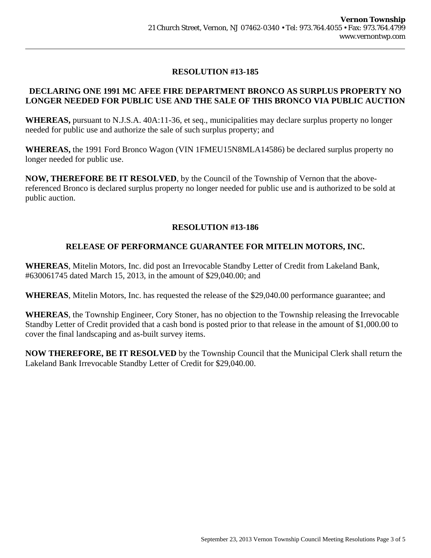# **RESOLUTION #13-185**

### <span id="page-2-0"></span>**DECLARING ONE 1991 MC AFEE FIRE DEPARTMENT BRONCO AS SURPLUS PROPERTY NO LONGER NEEDED FOR PUBLIC USE AND THE SALE OF THIS BRONCO VIA PUBLIC AUCTION**

**WHEREAS,** pursuant to N.J.S.A. 40A:11-36, et seq., municipalities may declare surplus property no longer needed for public use and authorize the sale of such surplus property; and

**WHEREAS,** the 1991 Ford Bronco Wagon (VIN 1FMEU15N8MLA14586) be declared surplus property no longer needed for public use.

**NOW, THEREFORE BE IT RESOLVED**, by the Council of the Township of Vernon that the abovereferenced Bronco is declared surplus property no longer needed for public use and is authorized to be sold at public auction.

## **RESOLUTION #13-186**

## **RELEASE OF PERFORMANCE GUARANTEE FOR MITELIN MOTORS, INC.**

**WHEREAS**, Mitelin Motors, Inc. did post an Irrevocable Standby Letter of Credit from Lakeland Bank, #630061745 dated March 15, 2013, in the amount of \$29,040.00; and

**WHEREAS**, Mitelin Motors, Inc. has requested the release of the \$29,040.00 performance guarantee; and

**WHEREAS**, the Township Engineer, Cory Stoner, has no objection to the Township releasing the Irrevocable Standby Letter of Credit provided that a cash bond is posted prior to that release in the amount of \$1,000.00 to cover the final landscaping and as-built survey items.

**NOW THEREFORE, BE IT RESOLVED** by the Township Council that the Municipal Clerk shall return the Lakeland Bank Irrevocable Standby Letter of Credit for \$29,040.00.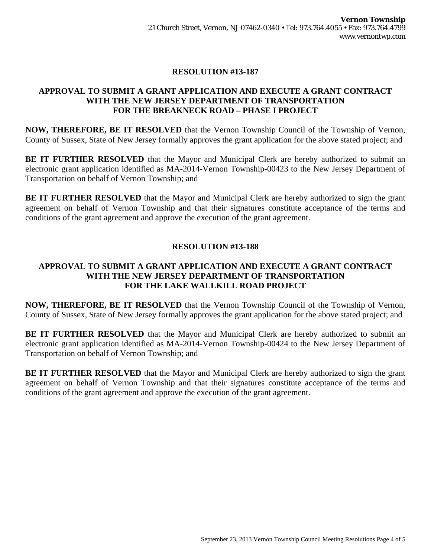# **RESOLUTION #13-187**

## <span id="page-3-0"></span>**APPROVAL TO SUBMIT A GRANT APPLICATION AND EXECUTE A GRANT CONTRACT WITH THE NEW JERSEY DEPARTMENT OF TRANSPORTATION FOR THE BREAKNECK ROAD – PHASE I PROJECT**

**NOW, THEREFORE, BE IT RESOLVED** that the Vernon Township Council of the Township of Vernon, County of Sussex, State of New Jersey formally approves the grant application for the above stated project; and

BE IT FURTHER RESOLVED that the Mayor and Municipal Clerk are hereby authorized to submit an electronic grant application identified as MA-2014-Vernon Township-00423 to the New Jersey Department of Transportation on behalf of Vernon Township; and

**BE IT FURTHER RESOLVED** that the Mayor and Municipal Clerk are hereby authorized to sign the grant agreement on behalf of Vernon Township and that their signatures constitute acceptance of the terms and conditions of the grant agreement and approve the execution of the grant agreement.

## **RESOLUTION #13-188**

## **APPROVAL TO SUBMIT A GRANT APPLICATION AND EXECUTE A GRANT CONTRACT WITH THE NEW JERSEY DEPARTMENT OF TRANSPORTATION FOR THE LAKE WALLKILL ROAD PROJECT**

**NOW, THEREFORE, BE IT RESOLVED** that the Vernon Township Council of the Township of Vernon, County of Sussex, State of New Jersey formally approves the grant application for the above stated project; and

**BE IT FURTHER RESOLVED** that the Mayor and Municipal Clerk are hereby authorized to submit an electronic grant application identified as MA-2014-Vernon Township-00424 to the New Jersey Department of Transportation on behalf of Vernon Township; and

**BE IT FURTHER RESOLVED** that the Mayor and Municipal Clerk are hereby authorized to sign the grant agreement on behalf of Vernon Township and that their signatures constitute acceptance of the terms and conditions of the grant agreement and approve the execution of the grant agreement.